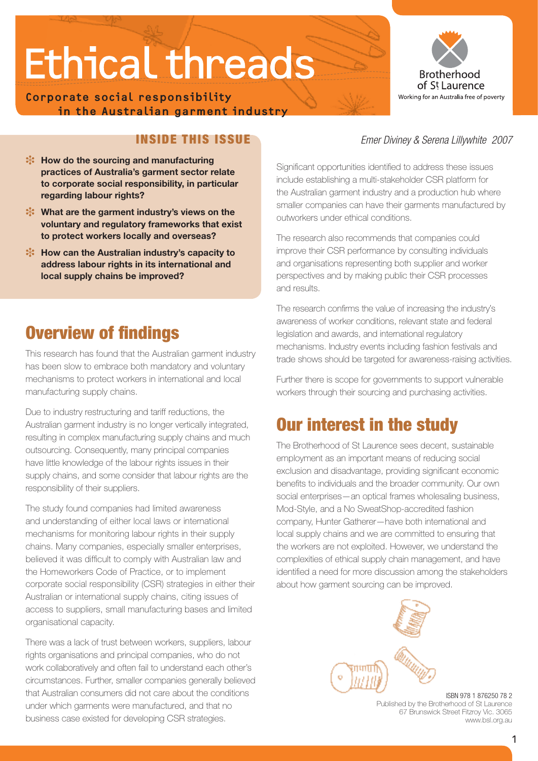**Corporate social responsibility in the Australian garment industry**



### Inside this Issue

- *X***: How do the sourcing and manufacturing practices of Australia's garment sector relate to corporate social responsibility, in particular regarding labour rights?**
- i **What are the garment industry's views on the voluntary and regulatory frameworks that exist to protect workers locally and overseas?**
- **x** How can the Australian industry's capacity to **address labour rights in its international and local supply chains be improved?**

## Overview of findings

This research has found that the Australian garment industry has been slow to embrace both mandatory and voluntary mechanisms to protect workers in international and local manufacturing supply chains.

Due to industry restructuring and tariff reductions, the Australian garment industry is no longer vertically integrated, resulting in complex manufacturing supply chains and much outsourcing. Consequently, many principal companies have little knowledge of the labour rights issues in their supply chains, and some consider that labour rights are the responsibility of their suppliers.

The study found companies had limited awareness and understanding of either local laws or international mechanisms for monitoring labour rights in their supply chains. Many companies, especially smaller enterprises, believed it was difficult to comply with Australian law and the Homeworkers Code of Practice, or to implement corporate social responsibility (CSR) strategies in either their Australian or international supply chains, citing issues of access to suppliers, small manufacturing bases and limited organisational capacity.

There was a lack of trust between workers, suppliers, labour rights organisations and principal companies, who do not work collaboratively and often fail to understand each other's circumstances. Further, smaller companies generally believed that Australian consumers did not care about the conditions under which garments were manufactured, and that no business case existed for developing CSR strategies.

#### *Emer Diviney & Serena Lillywhite 2007*

Significant opportunities identified to address these issues include establishing a multi-stakeholder CSR platform for the Australian garment industry and a production hub where smaller companies can have their garments manufactured by outworkers under ethical conditions.

The research also recommends that companies could improve their CSR performance by consulting individuals and organisations representing both supplier and worker perspectives and by making public their CSR processes and results.

The research confirms the value of increasing the industry's awareness of worker conditions, relevant state and federal legislation and awards, and international regulatory mechanisms. Industry events including fashion festivals and trade shows should be targeted for awareness-raising activities.

Further there is scope for governments to support vulnerable workers through their sourcing and purchasing activities.

## Our interest in the study

The Brotherhood of St Laurence sees decent, sustainable employment as an important means of reducing social exclusion and disadvantage, providing significant economic benefits to individuals and the broader community. Our own social enterprises—an optical frames wholesaling business, Mod-Style, and a No SweatShop-accredited fashion company, Hunter Gatherer—have both international and local supply chains and we are committed to ensuring that the workers are not exploited. However, we understand the complexities of ethical supply chain management, and have identified a need for more discussion among the stakeholders about how garment sourcing can be improved.



ISBN 978 1 876250 78 2 Published by the Brotherhood of St Laurence 67 Brunswick Street Fitzroy Vic. 3065 www.bsl.org.au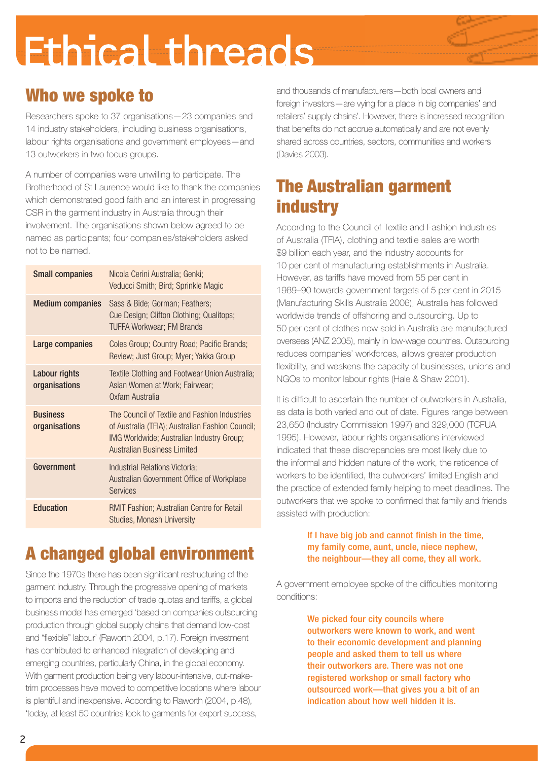## Who we spoke to

Researchers spoke to 37 organisations—23 companies and 14 industry stakeholders, including business organisations, labour rights organisations and government employees—and 13 outworkers in two focus groups.

A number of companies were unwilling to participate. The Brotherhood of St Laurence would like to thank the companies which demonstrated good faith and an interest in progressing CSR in the garment industry in Australia through their involvement. The organisations shown below agreed to be named as participants; four companies/stakeholders asked not to be named.

| <b>Small companies</b>                | Nicola Cerini Australia; Genki;<br>Veducci Smith; Bird; Sprinkle Magic                                                                                                               |
|---------------------------------------|--------------------------------------------------------------------------------------------------------------------------------------------------------------------------------------|
| <b>Medium companies</b>               | Sass & Bide; Gorman; Feathers;<br>Cue Design; Clifton Clothing; Qualitops;<br><b>TUFFA Workwear; FM Brands</b>                                                                       |
| Large companies                       | Coles Group; Country Road; Pacific Brands;<br>Review; Just Group; Myer; Yakka Group                                                                                                  |
| <b>Labour rights</b><br>organisations | Textile Clothing and Footwear Union Australia;<br>Asian Women at Work; Fairwear;<br>Oxfam Australia                                                                                  |
| <b>Business</b><br>organisations      | The Council of Textile and Fashion Industries<br>of Australia (TFIA); Australian Fashion Council;<br>IMG Worldwide; Australian Industry Group;<br><b>Australian Business Limited</b> |
| Government                            | Industrial Relations Victoria;<br>Australian Government Office of Workplace<br><b>Services</b>                                                                                       |
| <b>Education</b>                      | RMIT Fashion; Australian Centre for Retail<br>Studies, Monash University                                                                                                             |

## A changed global environment

Since the 1970s there has been significant restructuring of the garment industry. Through the progressive opening of markets to imports and the reduction of trade quotas and tariffs, a global business model has emerged 'based on companies outsourcing production through global supply chains that demand low-cost and "flexible" labour' (Raworth 2004, p.17). Foreign investment has contributed to enhanced integration of developing and emerging countries, particularly China, in the global economy. With garment production being very labour-intensive, cut-maketrim processes have moved to competitive locations where labour is plentiful and inexpensive. According to Raworth (2004, p.48), 'today, at least 50 countries look to garments for export success,

and thousands of manufacturers—both local owners and foreign investors—are vying for a place in big companies' and retailers' supply chains'. However, there is increased recognition that benefits do not accrue automatically and are not evenly shared across countries, sectors, communities and workers (Davies 2003).

## The Australian garment **industry**

According to the Council of Textile and Fashion Industries of Australia (TFIA), clothing and textile sales are worth \$9 billion each year, and the industry accounts for 10 per cent of manufacturing establishments in Australia. However, as tariffs have moved from 55 per cent in 1989–90 towards government targets of 5 per cent in 2015 (Manufacturing Skills Australia 2006), Australia has followed worldwide trends of offshoring and outsourcing. Up to 50 per cent of clothes now sold in Australia are manufactured overseas (ANZ 2005), mainly in low-wage countries. Outsourcing reduces companies' workforces, allows greater production flexibility, and weakens the capacity of businesses, unions and NGOs to monitor labour rights (Hale & Shaw 2001).

It is difficult to ascertain the number of outworkers in Australia, as data is both varied and out of date. Figures range between 23,650 (Industry Commission 1997) and 329,000 (TCFUA 1995). However, labour rights organisations interviewed indicated that these discrepancies are most likely due to the informal and hidden nature of the work, the reticence of workers to be identified, the outworkers' limited English and the practice of extended family helping to meet deadlines. The outworkers that we spoke to confirmed that family and friends assisted with production:

#### If I have big job and cannot finish in the time, my family come, aunt, uncle, niece nephew, the neighbour—they all come, they all work.

A government employee spoke of the difficulties monitoring conditions:

> We picked four city councils where outworkers were known to work, and went to their economic development and planning people and asked them to tell us where their outworkers are. There was not one registered workshop or small factory who outsourced work—that gives you a bit of an indication about how well hidden it is.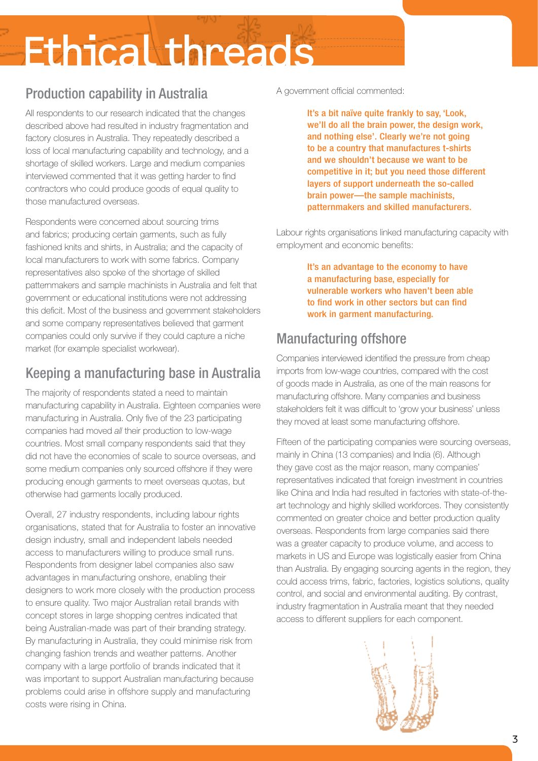## Production capability in Australia

All respondents to our research indicated that the changes described above had resulted in industry fragmentation and factory closures in Australia. They repeatedly described a loss of local manufacturing capability and technology, and a shortage of skilled workers. Large and medium companies interviewed commented that it was getting harder to find contractors who could produce goods of equal quality to those manufactured overseas.

Respondents were concerned about sourcing trims and fabrics; producing certain garments, such as fully fashioned knits and shirts, in Australia; and the capacity of local manufacturers to work with some fabrics. Company representatives also spoke of the shortage of skilled patternmakers and sample machinists in Australia and felt that government or educational institutions were not addressing this deficit. Most of the business and government stakeholders and some company representatives believed that garment companies could only survive if they could capture a niche market (for example specialist workwear).

## Keeping a manufacturing base in Australia

The majority of respondents stated a need to maintain manufacturing capability in Australia. Eighteen companies were manufacturing in Australia. Only five of the 23 participating companies had moved *all* their production to low-wage countries. Most small company respondents said that they did not have the economies of scale to source overseas, and some medium companies only sourced offshore if they were producing enough garments to meet overseas quotas, but otherwise had garments locally produced.

Overall, 27 industry respondents, including labour rights organisations, stated that for Australia to foster an innovative design industry, small and independent labels needed access to manufacturers willing to produce small runs. Respondents from designer label companies also saw advantages in manufacturing onshore, enabling their designers to work more closely with the production process to ensure quality. Two major Australian retail brands with concept stores in large shopping centres indicated that being Australian-made was part of their branding strategy. By manufacturing in Australia, they could minimise risk from changing fashion trends and weather patterns. Another company with a large portfolio of brands indicated that it was important to support Australian manufacturing because problems could arise in offshore supply and manufacturing costs were rising in China.

#### A government official commented:

It's a bit naïve quite frankly to say, 'Look, we'll do all the brain power, the design work, and nothing else'. Clearly we're not going to be a country that manufactures t-shirts and we shouldn't because we want to be competitive in it; but you need those different layers of support underneath the so-called brain power—the sample machinists, patternmakers and skilled manufacturers.

Labour rights organisations linked manufacturing capacity with employment and economic benefits:

> It's an advantage to the economy to have a manufacturing base, especially for vulnerable workers who haven't been able to find work in other sectors but can find work in garment manufacturing.

## Manufacturing offshore

Companies interviewed identified the pressure from cheap imports from low-wage countries, compared with the cost of goods made in Australia, as one of the main reasons for manufacturing offshore. Many companies and business stakeholders felt it was difficult to 'grow your business' unless they moved at least some manufacturing offshore.

Fifteen of the participating companies were sourcing overseas, mainly in China (13 companies) and India (6). Although they gave cost as the major reason, many companies' representatives indicated that foreign investment in countries like China and India had resulted in factories with state-of-theart technology and highly skilled workforces. They consistently commented on greater choice and better production quality overseas. Respondents from large companies said there was a greater capacity to produce volume, and access to markets in US and Europe was logistically easier from China than Australia. By engaging sourcing agents in the region, they could access trims, fabric, factories, logistics solutions, quality control, and social and environmental auditing. By contrast, industry fragmentation in Australia meant that they needed access to different suppliers for each component.

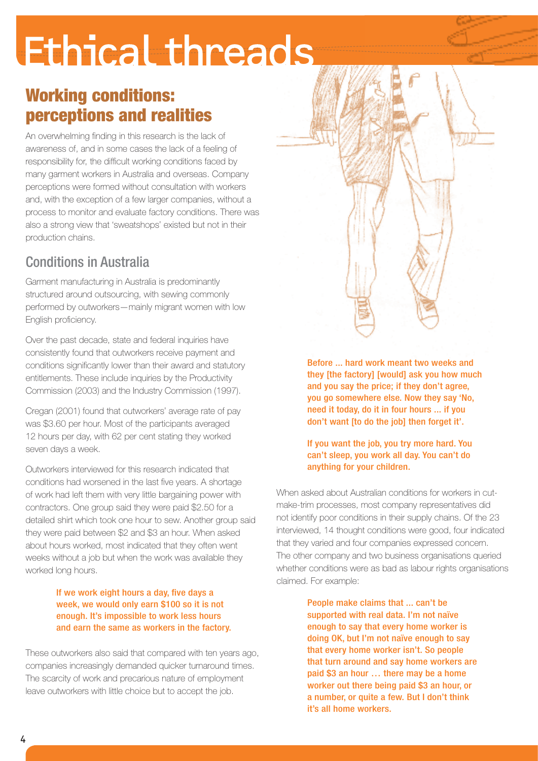## Working conditions: perceptions and realities

An overwhelming finding in this research is the lack of awareness of, and in some cases the lack of a feeling of responsibility for, the difficult working conditions faced by many garment workers in Australia and overseas. Company perceptions were formed without consultation with workers and, with the exception of a few larger companies, without a process to monitor and evaluate factory conditions. There was also a strong view that 'sweatshops' existed but not in their production chains.

## Conditions in Australia

Garment manufacturing in Australia is predominantly structured around outsourcing, with sewing commonly performed by outworkers—mainly migrant women with low English proficiency.

Over the past decade, state and federal inquiries have consistently found that outworkers receive payment and conditions significantly lower than their award and statutory entitlements. These include inquiries by the Productivity Commission (2003) and the Industry Commission (1997).

Cregan (2001) found that outworkers' average rate of pay was \$3.60 per hour. Most of the participants averaged 12 hours per day, with 62 per cent stating they worked seven days a week.

Outworkers interviewed for this research indicated that conditions had worsened in the last five years. A shortage of work had left them with very little bargaining power with contractors. One group said they were paid \$2.50 for a detailed shirt which took one hour to sew. Another group said they were paid between \$2 and \$3 an hour. When asked about hours worked, most indicated that they often went weeks without a job but when the work was available they worked long hours.

#### If we work eight hours a day, five days a week, we would only earn \$100 so it is not enough. It's impossible to work less hours and earn the same as workers in the factory.

These outworkers also said that compared with ten years ago, companies increasingly demanded quicker turnaround times. The scarcity of work and precarious nature of employment leave outworkers with little choice but to accept the job.

Before ... hard work meant two weeks and they [the factory] [would] ask you how much and you say the price; if they don't agree, you go somewhere else. Now they say 'No, need it today, do it in four hours ... if you don't want [to do the job] then forget it'.

#### If you want the job, you try more hard. You can't sleep, you work all day. You can't do anything for your children.

When asked about Australian conditions for workers in cutmake-trim processes, most company representatives did not identify poor conditions in their supply chains. Of the 23 interviewed, 14 thought conditions were good, four indicated that they varied and four companies expressed concern. The other company and two business organisations queried whether conditions were as bad as labour rights organisations claimed. For example:

> People make claims that ... can't be supported with real data. I'm not naïve enough to say that every home worker is doing OK, but I'm not naïve enough to say that every home worker isn't. So people that turn around and say home workers are paid \$3 an hour … there may be a home worker out there being paid \$3 an hour, or a number, or quite a few. But I don't think it's all home workers.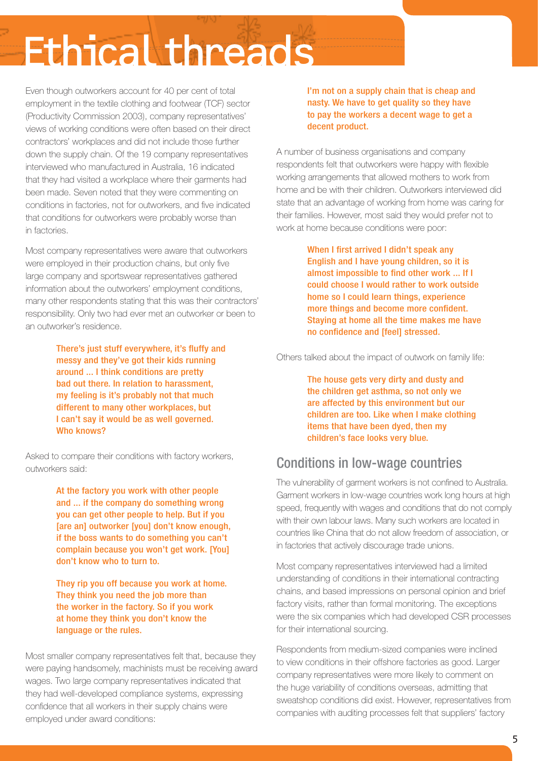Even though outworkers account for 40 per cent of total employment in the textile clothing and footwear (TCF) sector (Productivity Commission 2003), company representatives' views of working conditions were often based on their direct contractors' workplaces and did not include those further down the supply chain. Of the 19 company representatives interviewed who manufactured in Australia, 16 indicated that they had visited a workplace where their garments had been made. Seven noted that they were commenting on conditions in factories, not for outworkers, and five indicated that conditions for outworkers were probably worse than in factories.

Most company representatives were aware that outworkers were employed in their production chains, but only five large company and sportswear representatives gathered information about the outworkers' employment conditions, many other respondents stating that this was their contractors' responsibility. Only two had ever met an outworker or been to an outworker's residence.

> There's just stuff everywhere, it's fluffy and messy and they've got their kids running around ... I think conditions are pretty bad out there. In relation to harassment, my feeling is it's probably not that much different to many other workplaces, but I can't say it would be as well governed. Who knows?

Asked to compare their conditions with factory workers, outworkers said:

> At the factory you work with other people and ... if the company do something wrong you can get other people to help. But if you [are an] outworker [you] don't know enough, if the boss wants to do something you can't complain because you won't get work. [You] don't know who to turn to.

They rip you off because you work at home. They think you need the job more than the worker in the factory. So if you work at home they think you don't know the language or the rules.

Most smaller company representatives felt that, because they were paying handsomely, machinists must be receiving award wages. Two large company representatives indicated that they had well-developed compliance systems, expressing confidence that all workers in their supply chains were employed under award conditions:

I'm not on a supply chain that is cheap and nasty. We have to get quality so they have to pay the workers a decent wage to get a decent product.

A number of business organisations and company respondents felt that outworkers were happy with flexible working arrangements that allowed mothers to work from home and be with their children. Outworkers interviewed did state that an advantage of working from home was caring for their families. However, most said they would prefer not to work at home because conditions were poor:

> When I first arrived I didn't speak any English and I have young children, so it is almost impossible to find other work ... If I could choose I would rather to work outside home so I could learn things, experience more things and become more confident. Staying at home all the time makes me have no confidence and [feel] stressed.

Others talked about the impact of outwork on family life:

The house gets very dirty and dusty and the children get asthma, so not only we are affected by this environment but our children are too. Like when I make clothing items that have been dyed, then my children's face looks very blue.

### Conditions in low-wage countries

The vulnerability of garment workers is not confined to Australia. Garment workers in low-wage countries work long hours at high speed, frequently with wages and conditions that do not comply with their own labour laws. Many such workers are located in countries like China that do not allow freedom of association, or in factories that actively discourage trade unions.

Most company representatives interviewed had a limited understanding of conditions in their international contracting chains, and based impressions on personal opinion and brief factory visits, rather than formal monitoring. The exceptions were the six companies which had developed CSR processes for their international sourcing.

Respondents from medium-sized companies were inclined to view conditions in their offshore factories as good. Larger company representatives were more likely to comment on the huge variability of conditions overseas, admitting that sweatshop conditions did exist. However, representatives from companies with auditing processes felt that suppliers' factory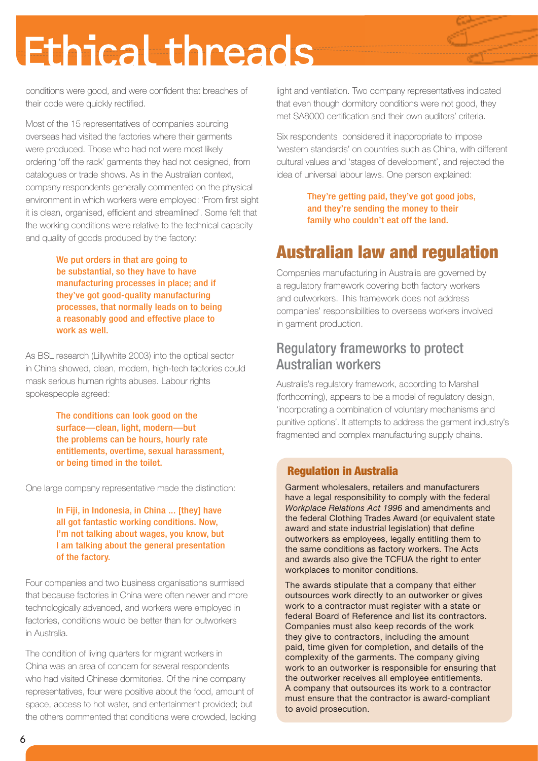conditions were good, and were confident that breaches of their code were quickly rectified.

Most of the 15 representatives of companies sourcing overseas had visited the factories where their garments were produced. Those who had not were most likely ordering 'off the rack' garments they had not designed, from catalogues or trade shows. As in the Australian context, company respondents generally commented on the physical environment in which workers were employed: 'From first sight it is clean, organised, efficient and streamlined'. Some felt that the working conditions were relative to the technical capacity and quality of goods produced by the factory:

> We put orders in that are going to be substantial, so they have to have manufacturing processes in place; and if they've got good-quality manufacturing processes, that normally leads on to being a reasonably good and effective place to work as well.

As BSL research (Lillywhite 2003) into the optical sector in China showed, clean, modern, high-tech factories could mask serious human rights abuses. Labour rights spokespeople agreed:

> The conditions can look good on the surface—clean, light, modern—but the problems can be hours, hourly rate entitlements, overtime, sexual harassment, or being timed in the toilet.

One large company representative made the distinction:

In Fiji, in Indonesia, in China ... [they] have all got fantastic working conditions. Now, I'm not talking about wages, you know, but I am talking about the general presentation of the factory.

Four companies and two business organisations surmised that because factories in China were often newer and more technologically advanced, and workers were employed in factories, conditions would be better than for outworkers in Australia.

The condition of living quarters for migrant workers in China was an area of concern for several respondents who had visited Chinese dormitories. Of the nine company representatives, four were positive about the food, amount of space, access to hot water, and entertainment provided; but the others commented that conditions were crowded, lacking light and ventilation. Two company representatives indicated that even though dormitory conditions were not good, they met SA8000 certification and their own auditors' criteria.

Six respondents considered it inappropriate to impose 'western standards' on countries such as China, with different cultural values and 'stages of development', and rejected the idea of universal labour laws. One person explained:

> They're getting paid, they've got good jobs, and they're sending the money to their family who couldn't eat off the land.

## Australian law and regulation

Companies manufacturing in Australia are governed by a regulatory framework covering both factory workers and outworkers. This framework does not address companies' responsibilities to overseas workers involved in garment production.

### Regulatory frameworks to protect Australian workers

Australia's regulatory framework, according to Marshall (forthcoming), appears to be a model of regulatory design, 'incorporating a combination of voluntary mechanisms and punitive options'. It attempts to address the garment industry's fragmented and complex manufacturing supply chains.

#### Regulation in Australia

Garment wholesalers, retailers and manufacturers have a legal responsibility to comply with the federal *Workplace Relations Act 1996* and amendments and the federal Clothing Trades Award (or equivalent state award and state industrial legislation) that define outworkers as employees, legally entitling them to the same conditions as factory workers. The Acts and awards also give the TCFUA the right to enter workplaces to monitor conditions.

The awards stipulate that a company that either outsources work directly to an outworker or gives work to a contractor must register with a state or federal Board of Reference and list its contractors. Companies must also keep records of the work they give to contractors, including the amount paid, time given for completion, and details of the complexity of the garments. The company giving work to an outworker is responsible for ensuring that the outworker receives all employee entitlements. A company that outsources its work to a contractor must ensure that the contractor is award-compliant to avoid prosecution.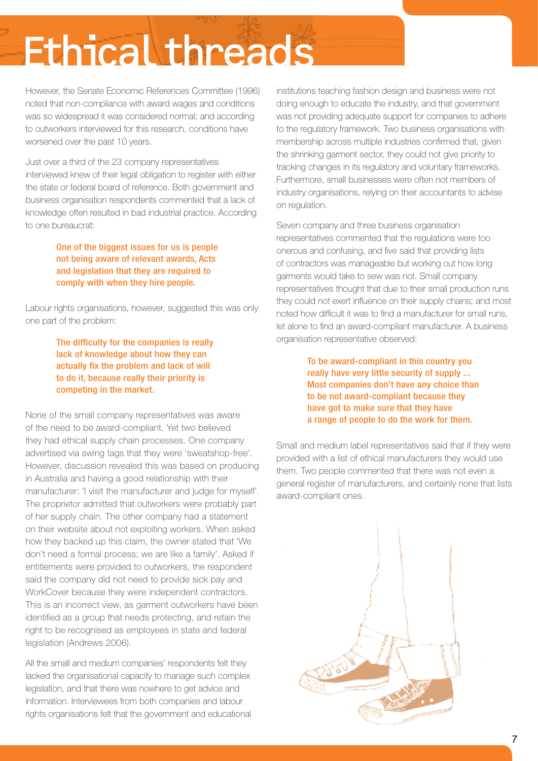However, the Senate Economic References Committee (1996) noted that non-compliance with award wages and conditions was so widespread it was considered normal; and according to outworkers interviewed for this research, conditions have worsened over the past 10 years.

Just over a third of the 23 company representatives interviewed knew of their legal obligation to register with either the state or federal board of reference. Both government and business organisation respondents commented that a lack of knowledge often resulted in bad industrial practice. According to one bureaucrat:

> One of the biggest issues for us is people not being aware of relevant awards, Acts and legislation that they are required to comply with when they hire people.

Labour rights organisations, however, suggested this was only one part of the problem:

> The difficulty for the companies is really lack of knowledge about how they can actually fix the problem and lack of will to do it, because really their priority is competing in the market.

None of the small company representatives was aware of the need to be award-compliant. Yet two believed they had ethical supply chain processes. One company advertised via swing tags that they were 'sweatshop-free'. However, discussion revealed this was based on producing in Australia and having a good relationship with their manufacturer: 'I visit the manufacturer and judge for myself'. The proprietor admitted that outworkers were probably part of her supply chain. The other company had a statement on their website about not exploiting workers. When asked how they backed up this claim, the owner stated that 'We don't need a formal process; we are like a family'. Asked if entitlements were provided to outworkers, the respondent said the company did not need to provide sick pay and WorkCover because they were independent contractors. This is an incorrect view, as garment outworkers have been identified as a group that needs protecting, and retain the right to be recognised as employees in state and federal legislation (Andrews 2006).

All the small and medium companies' respondents felt they lacked the organisational capacity to manage such complex legislation, and that there was nowhere to get advice and information. Interviewees from both companies and labour rights organisations felt that the government and educational institutions teaching fashion design and business were not doing enough to educate the industry, and that government was not providing adequate support for companies to adhere to the regulatory framework. Two business organisations with membership across multiple industries confirmed that, given the shrinking garment sector, they could not give priority to tracking changes in its regulatory and voluntary frameworks. Furthermore, small businesses were often not members of industry organisations, relying on their accountants to advise on regulation.

Seven company and three business organisation representatives commented that the regulations were too onerous and confusing, and five said that providing lists of contractors was manageable but working out how long garments would take to sew was not. Small company representatives thought that due to their small production runs they could not exert influence on their supply chains; and most noted how difficult it was to find a manufacturer for small runs, let alone to find an award-compliant manufacturer. A business organisation representative observed:

> To be award-compliant in this country you really have very little security of supply ... Most companies don't have any choice than to be not award-compliant because they have got to make sure that they have a range of people to do the work for them.

Small and medium label representatives said that if they were provided with a list of ethical manufacturers they would use them. Two people commented that there was not even a general register of manufacturers, and certainly none that lists award-compliant ones.

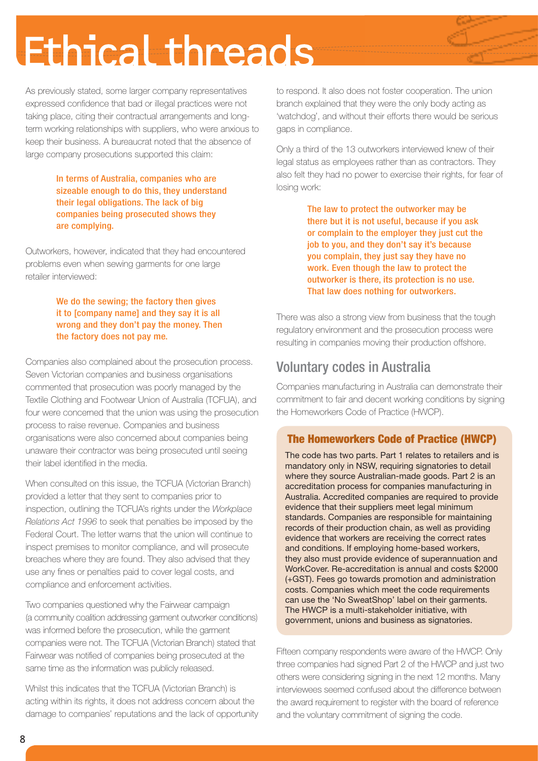As previously stated, some larger company representatives expressed confidence that bad or illegal practices were not taking place, citing their contractual arrangements and longterm working relationships with suppliers, who were anxious to keep their business. A bureaucrat noted that the absence of large company prosecutions supported this claim:

> In terms of Australia, companies who are sizeable enough to do this, they understand their legal obligations. The lack of big companies being prosecuted shows they are complying.

Outworkers, however, indicated that they had encountered problems even when sewing garments for one large retailer interviewed:

> We do the sewing; the factory then gives it to [company name] and they say it is all wrong and they don't pay the money. Then the factory does not pay me.

Companies also complained about the prosecution process. Seven Victorian companies and business organisations commented that prosecution was poorly managed by the Textile Clothing and Footwear Union of Australia (TCFUA), and four were concerned that the union was using the prosecution process to raise revenue. Companies and business organisations were also concerned about companies being unaware their contractor was being prosecuted until seeing their label identified in the media.

When consulted on this issue, the TCFUA (Victorian Branch) provided a letter that they sent to companies prior to inspection, outlining the TCFUA's rights under the *Workplace Relations Act 1996* to seek that penalties be imposed by the Federal Court. The letter warns that the union will continue to inspect premises to monitor compliance, and will prosecute breaches where they are found. They also advised that they use any fines or penalties paid to cover legal costs, and compliance and enforcement activities.

Two companies questioned why the Fairwear campaign (a community coalition addressing garment outworker conditions) was informed before the prosecution, while the garment companies were not. The TCFUA (Victorian Branch) stated that Fairwear was notified of companies being prosecuted at the same time as the information was publicly released.

Whilst this indicates that the TCFUA (Victorian Branch) is acting within its rights, it does not address concern about the damage to companies' reputations and the lack of opportunity to respond. It also does not foster cooperation. The union branch explained that they were the only body acting as 'watchdog', and without their efforts there would be serious gaps in compliance.

Only a third of the 13 outworkers interviewed knew of their legal status as employees rather than as contractors. They also felt they had no power to exercise their rights, for fear of losing work:

> The law to protect the outworker may be there but it is not useful, because if you ask or complain to the employer they just cut the job to you, and they don't say it's because you complain, they just say they have no work. Even though the law to protect the outworker is there, its protection is no use. That law does nothing for outworkers.

There was also a strong view from business that the tough regulatory environment and the prosecution process were resulting in companies moving their production offshore.

### Voluntary codes in Australia

Companies manufacturing in Australia can demonstrate their commitment to fair and decent working conditions by signing the Homeworkers Code of Practice (HWCP).

#### The Homeworkers Code of Practice (HWCP)

The code has two parts. Part 1 relates to retailers and is mandatory only in NSW, requiring signatories to detail where they source Australian-made goods. Part 2 is an accreditation process for companies manufacturing in Australia. Accredited companies are required to provide evidence that their suppliers meet legal minimum standards. Companies are responsible for maintaining records of their production chain, as well as providing evidence that workers are receiving the correct rates and conditions. If employing home-based workers, they also must provide evidence of superannuation and WorkCover. Re-accreditation is annual and costs \$2000 (+GST). Fees go towards promotion and administration costs. Companies which meet the code requirements can use the 'No SweatShop' label on their garments. The HWCP is a multi-stakeholder initiative, with government, unions and business as signatories.

Fifteen company respondents were aware of the HWCP. Only three companies had signed Part 2 of the HWCP and just two others were considering signing in the next 12 months. Many interviewees seemed confused about the difference between the award requirement to register with the board of reference and the voluntary commitment of signing the code.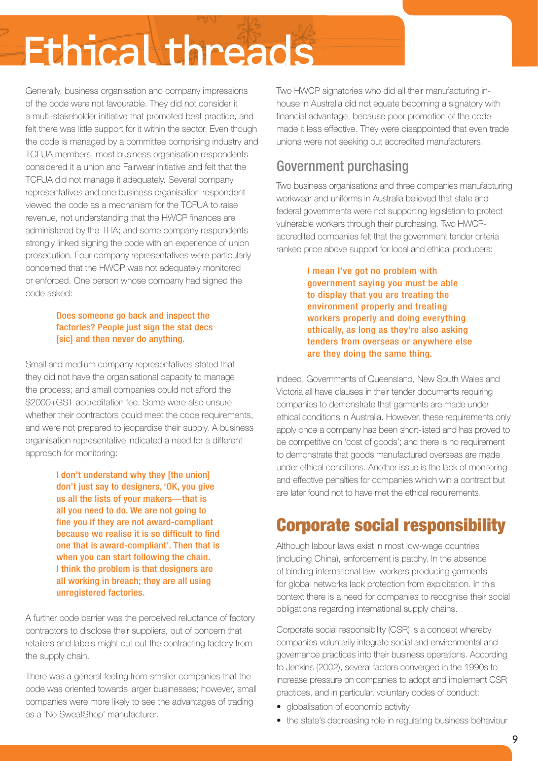Generally, business organisation and company impressions of the code were not favourable. They did not consider it a multi-stakeholder initiative that promoted best practice, and felt there was little support for it within the sector. Even though the code is managed by a committee comprising industry and TCFUA members, most business organisation respondents considered it a union and Fairwear initiative and felt that the TCFUA did not manage it adequately. Several company representatives and one business organisation respondent viewed the code as a mechanism for the TCFUA to raise revenue, not understanding that the HWCP finances are administered by the TFIA; and some company respondents strongly linked signing the code with an experience of union prosecution. Four company representatives were particularly concerned that the HWCP was not adequately monitored or enforced. One person whose company had signed the code asked:

#### Does someone go back and inspect the factories? People just sign the stat decs [sic] and then never do anything.

Small and medium company representatives stated that they did not have the organisational capacity to manage the process; and small companies could not afford the \$2000+GST accreditation fee. Some were also unsure whether their contractors could meet the code requirements. and were not prepared to jeopardise their supply. A business organisation representative indicated a need for a different approach for monitoring:

> I don't understand why they [the union] don't just say to designers, 'OK, you give us all the lists of your makers—that is all you need to do. We are not going to fine you if they are not award-compliant because we realise it is so difficult to find one that is award-compliant'. Then that is when you can start following the chain. I think the problem is that designers are all working in breach; they are all using unregistered factories.

A further code barrier was the perceived reluctance of factory contractors to disclose their suppliers, out of concern that retailers and labels might cut out the contracting factory from the supply chain.

There was a general feeling from smaller companies that the code was oriented towards larger businesses; however, small companies were more likely to see the advantages of trading as a 'No SweatShop' manufacturer.

Two HWCP signatories who did all their manufacturing inhouse in Australia did not equate becoming a signatory with financial advantage, because poor promotion of the code made it less effective. They were disappointed that even trade unions were not seeking out accredited manufacturers.

### Government purchasing

Two business organisations and three companies manufacturing workwear and uniforms in Australia believed that state and federal governments were not supporting legislation to protect vulnerable workers through their purchasing. Two HWCPaccredited companies felt that the government tender criteria ranked price above support for local and ethical producers:

> I mean I've got no problem with government saying you must be able to display that you are treating the environment properly and treating workers properly and doing everything ethically, as long as they're also asking tenders from overseas or anywhere else are they doing the same thing.

Indeed, Governments of Queensland, New South Wales and Victoria all have clauses in their tender documents requiring companies to demonstrate that garments are made under ethical conditions in Australia. However, these requirements only apply once a company has been short-listed and has proved to be competitive on 'cost of goods'; and there is no requirement to demonstrate that goods manufactured overseas are made under ethical conditions. Another issue is the lack of monitoring and effective penalties for companies which win a contract but are later found not to have met the ethical requirements.

## Corporate social responsibility

Although labour laws exist in most low-wage countries (including China), enforcement is patchy. In the absence of binding international law, workers producing garments for global networks lack protection from exploitation. In this context there is a need for companies to recognise their social obligations regarding international supply chains.

Corporate social responsibility (CSR) is a concept whereby companies voluntarily integrate social and environmental and governance practices into their business operations. According to Jenkins (2002), several factors converged in the 1990s to increase pressure on companies to adopt and implement CSR practices, and in particular, voluntary codes of conduct:

- globalisation of economic activity
- the state's decreasing role in regulating business behaviour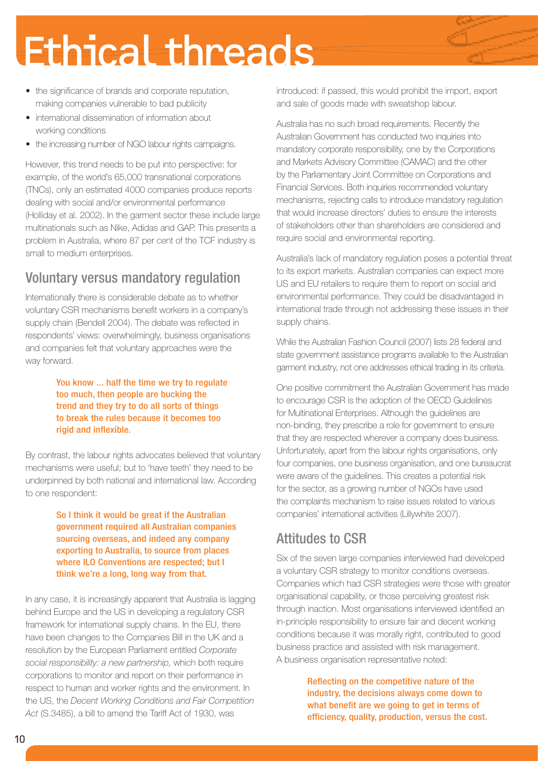- the significance of brands and corporate reputation, making companies vulnerable to bad publicity
- international dissemination of information about working conditions
- the increasing number of NGO labour rights campaigns.

However, this trend needs to be put into perspective: for example, of the world's 65,000 transnational corporations (TNCs), only an estimated 4000 companies produce reports dealing with social and/or environmental performance (Holliday et al. 2002). In the garment sector these include large multinationals such as Nike, Adidas and GAP. This presents a problem in Australia, where 87 per cent of the TCF industry is small to medium enterprises.

### Voluntary versus mandatory regulation

Internationally there is considerable debate as to whether voluntary CSR mechanisms benefit workers in a company's supply chain (Bendell 2004). The debate was reflected in respondents' views: overwhelmingly, business organisations and companies felt that voluntary approaches were the way forward.

> You know ... half the time we try to regulate too much, then people are bucking the trend and they try to do all sorts of things to break the rules because it becomes too rigid and inflexible.

By contrast, the labour rights advocates believed that voluntary mechanisms were useful; but to 'have teeth' they need to be underpinned by both national and international law. According to one respondent:

> So I think it would be great if the Australian government required all Australian companies sourcing overseas, and indeed any company exporting to Australia, to source from places where ILO Conventions are respected; but I think we're a long, long way from that.

In any case, it is increasingly apparent that Australia is lagging behind Europe and the US in developing a regulatory CSR framework for international supply chains. In the EU, there have been changes to the Companies Bill in the UK and a resolution by the European Parliament entitled *Corporate social responsibility: a new partnership,* which both require corporations to monitor and report on their performance in respect to human and worker rights and the environment. In the US, the *Decent Working Conditions and Fair Competition Act* (S.3485), a bill to amend the Tariff Act of 1930, was

introduced: if passed, this would prohibit the import, export and sale of goods made with sweatshop labour.

Australia has no such broad requirements. Recently the Australian Government has conducted two inquiries into mandatory corporate responsibility, one by the Corporations and Markets Advisory Committee (CAMAC) and the other by the Parliamentary Joint Committee on Corporations and Financial Services. Both inquiries recommended voluntary mechanisms, rejecting calls to introduce mandatory regulation that would increase directors' duties to ensure the interests of stakeholders other than shareholders are considered and require social and environmental reporting.

Australia's lack of mandatory regulation poses a potential threat to its export markets. Australian companies can expect more US and EU retailers to require them to report on social and environmental performance. They could be disadvantaged in international trade through not addressing these issues in their supply chains.

While the Australian Fashion Council (2007) lists 28 federal and state government assistance programs available to the Australian garment industry, not one addresses ethical trading in its criteria.

One positive commitment the Australian Government has made to encourage CSR is the adoption of the OECD Guidelines for Multinational Enterprises. Although the guidelines are non-binding, they prescribe a role for government to ensure that they are respected wherever a company does business. Unfortunately, apart from the labour rights organisations, only four companies, one business organisation, and one bureaucrat were aware of the guidelines. This creates a potential risk for the sector, as a growing number of NGOs have used the complaints mechanism to raise issues related to various companies' international activities (Lillywhite 2007).

### Attitudes to CSR

Six of the seven large companies interviewed had developed a voluntary CSR strategy to monitor conditions overseas. Companies which had CSR strategies were those with greater organisational capability, or those perceiving greatest risk through inaction. Most organisations interviewed identified an in-principle responsibility to ensure fair and decent working conditions because it was morally right, contributed to good business practice and assisted with risk management. A business organisation representative noted:

> Reflecting on the competitive nature of the industry, the decisions always come down to what benefit are we going to get in terms of efficiency, quality, production, versus the cost.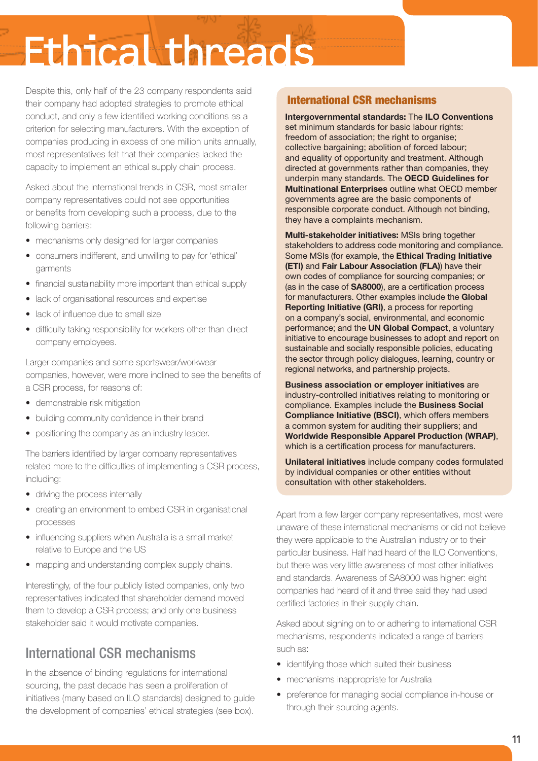Despite this, only half of the 23 company respondents said their company had adopted strategies to promote ethical conduct, and only a few identified working conditions as a criterion for selecting manufacturers. With the exception of companies producing in excess of one million units annually, most representatives felt that their companies lacked the capacity to implement an ethical supply chain process.

Asked about the international trends in CSR, most smaller company representatives could not see opportunities or benefits from developing such a process, due to the following barriers:

- mechanisms only designed for larger companies
- consumers indifferent, and unwilling to pay for 'ethical' garments
- financial sustainability more important than ethical supply
- lack of organisational resources and expertise
- lack of influence due to small size
- difficulty taking responsibility for workers other than direct company employees.

Larger companies and some sportswear/workwear companies, however, were more inclined to see the benefits of a CSR process, for reasons of:

- demonstrable risk mitigation
- building community confidence in their brand
- positioning the company as an industry leader.

The barriers identified by larger company representatives related more to the difficulties of implementing a CSR process, including:

- driving the process internally
- creating an environment to embed CSR in organisational processes
- influencing suppliers when Australia is a small market relative to Europe and the US
- mapping and understanding complex supply chains.

Interestingly, of the four publicly listed companies, only two representatives indicated that shareholder demand moved them to develop a CSR process; and only one business stakeholder said it would motivate companies.

### International CSR mechanisms

In the absence of binding regulations for international sourcing, the past decade has seen a proliferation of initiatives (many based on ILO standards) designed to guide the development of companies' ethical strategies (see box).

#### International CSR mechanisms

**Intergovernmental standards:** The **ILO Conventions** set minimum standards for basic labour rights: freedom of association; the right to organise; collective bargaining; abolition of forced labour; and equality of opportunity and treatment. Although directed at governments rather than companies, they underpin many standards. The **OECD Guidelines for Multinational Enterprises** outline what OECD member governments agree are the basic components of responsible corporate conduct. Although not binding, they have a complaints mechanism.

**Multi-stakeholder initiatives:** MSIs bring together stakeholders to address code monitoring and compliance. Some MSIs (for example, the **Ethical Trading Initiative (ETI)** and **Fair Labour Association (FLA)**) have their own codes of compliance for sourcing companies; or (as in the case of **SA8000**), are a certification process for manufacturers. Other examples include the **Global Reporting Initiative (GRI)**, a process for reporting on a company's social, environmental, and economic performance; and the **UN Global Compact**, a voluntary initiative to encourage businesses to adopt and report on sustainable and socially responsible policies, educating the sector through policy dialogues, learning, country or regional networks, and partnership projects.

**Business association or employer initiatives** are industry-controlled initiatives relating to monitoring or compliance. Examples include the **Business Social Compliance Initiative (BSCI)**, which offers members a common system for auditing their suppliers; and **Worldwide Responsible Apparel Production (WRAP)**, which is a certification process for manufacturers.

**Unilateral initiatives** include company codes formulated by individual companies or other entities without consultation with other stakeholders.

Apart from a few larger company representatives, most were unaware of these international mechanisms or did not believe they were applicable to the Australian industry or to their particular business. Half had heard of the ILO Conventions, but there was very little awareness of most other initiatives and standards. Awareness of SA8000 was higher: eight companies had heard of it and three said they had used certified factories in their supply chain.

Asked about signing on to or adhering to international CSR mechanisms, respondents indicated a range of barriers such as:

- identifying those which suited their business
- mechanisms inappropriate for Australia
- preference for managing social compliance in-house or through their sourcing agents.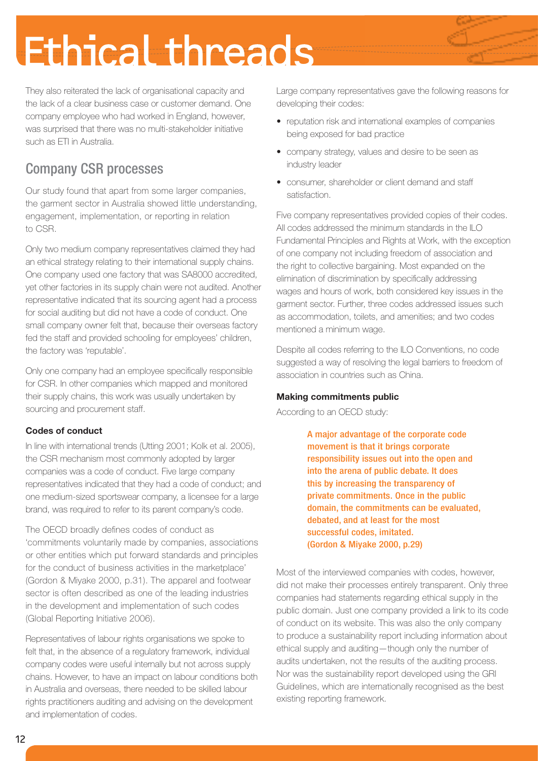They also reiterated the lack of organisational capacity and the lack of a clear business case or customer demand. One company employee who had worked in England, however, was surprised that there was no multi-stakeholder initiative such as ETI in Australia.

## Company CSR processes

Our study found that apart from some larger companies, the garment sector in Australia showed little understanding, engagement, implementation, or reporting in relation to CSR.

Only two medium company representatives claimed they had an ethical strategy relating to their international supply chains. One company used one factory that was SA8000 accredited, yet other factories in its supply chain were not audited. Another representative indicated that its sourcing agent had a process for social auditing but did not have a code of conduct. One small company owner felt that, because their overseas factory fed the staff and provided schooling for employees' children, the factory was 'reputable'.

Only one company had an employee specifically responsible for CSR. In other companies which mapped and monitored their supply chains, this work was usually undertaken by sourcing and procurement staff.

#### **Codes of conduct**

In line with international trends (Utting 2001; Kolk et al. 2005), the CSR mechanism most commonly adopted by larger companies was a code of conduct. Five large company representatives indicated that they had a code of conduct; and one medium-sized sportswear company, a licensee for a large brand, was required to refer to its parent company's code.

The OECD broadly defines codes of conduct as 'commitments voluntarily made by companies, associations or other entities which put forward standards and principles for the conduct of business activities in the marketplace' (Gordon & Miyake 2000, p.31). The apparel and footwear sector is often described as one of the leading industries in the development and implementation of such codes (Global Reporting Initiative 2006).

Representatives of labour rights organisations we spoke to felt that, in the absence of a regulatory framework, individual company codes were useful internally but not across supply chains. However, to have an impact on labour conditions both in Australia and overseas, there needed to be skilled labour rights practitioners auditing and advising on the development and implementation of codes.

Large company representatives gave the following reasons for developing their codes:

- reputation risk and international examples of companies being exposed for bad practice
- company strategy, values and desire to be seen as industry leader
- consumer, shareholder or client demand and staff satisfaction.

Five company representatives provided copies of their codes. All codes addressed the minimum standards in the ILO Fundamental Principles and Rights at Work, with the exception of one company not including freedom of association and the right to collective bargaining. Most expanded on the elimination of discrimination by specifically addressing wages and hours of work, both considered key issues in the garment sector. Further, three codes addressed issues such as accommodation, toilets, and amenities; and two codes mentioned a minimum wage.

Despite all codes referring to the ILO Conventions, no code suggested a way of resolving the legal barriers to freedom of association in countries such as China.

#### **Making commitments public**

According to an OECD study:

A major advantage of the corporate code movement is that it brings corporate responsibility issues out into the open and into the arena of public debate. It does this by increasing the transparency of private commitments. Once in the public domain, the commitments can be evaluated, debated, and at least for the most successful codes, imitated. (Gordon & Miyake 2000, p.29)

Most of the interviewed companies with codes, however, did not make their processes entirely transparent. Only three companies had statements regarding ethical supply in the public domain. Just one company provided a link to its code of conduct on its website. This was also the only company to produce a sustainability report including information about ethical supply and auditing—though only the number of audits undertaken, not the results of the auditing process. Nor was the sustainability report developed using the GRI Guidelines, which are internationally recognised as the best existing reporting framework.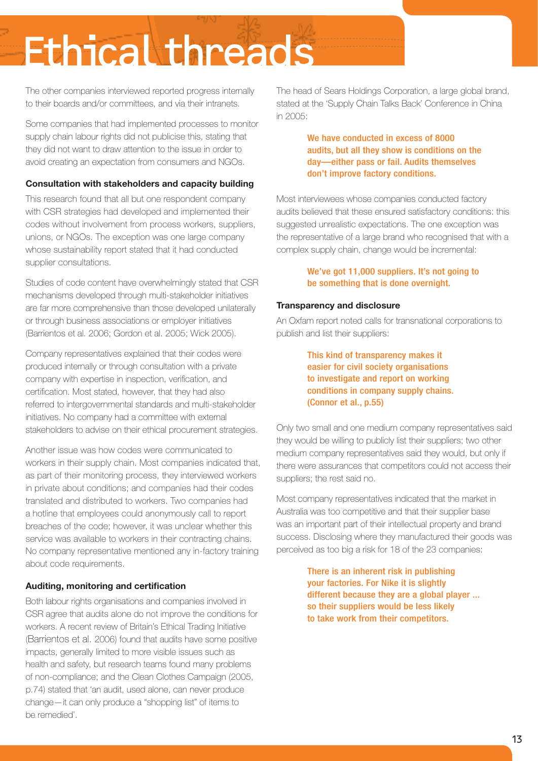The other companies interviewed reported progress internally to their boards and/or committees, and via their intranets.

Some companies that had implemented processes to monitor supply chain labour rights did not publicise this, stating that they did not want to draw attention to the issue in order to avoid creating an expectation from consumers and NGOs.

#### **Consultation with stakeholders and capacity building**

This research found that all but one respondent company with CSR strategies had developed and implemented their codes without involvement from process workers, suppliers, unions, or NGOs. The exception was one large company whose sustainability report stated that it had conducted supplier consultations.

Studies of code content have overwhelmingly stated that CSR mechanisms developed through multi-stakeholder initiatives are far more comprehensive than those developed unilaterally or through business associations or employer initiatives (Barrientos et al. 2006; Gordon et al. 2005; Wick 2005).

Company representatives explained that their codes were produced internally or through consultation with a private company with expertise in inspection, verification, and certification. Most stated, however, that they had also referred to intergovernmental standards and multi-stakeholder initiatives. No company had a committee with external stakeholders to advise on their ethical procurement strategies.

Another issue was how codes were communicated to workers in their supply chain. Most companies indicated that, as part of their monitoring process, they interviewed workers in private about conditions; and companies had their codes translated and distributed to workers. Two companies had a hotline that employees could anonymously call to report breaches of the code; however, it was unclear whether this service was available to workers in their contracting chains. No company representative mentioned any in-factory training about code requirements.

#### **Auditing, monitoring and certification**

Both labour rights organisations and companies involved in CSR agree that audits alone do not improve the conditions for workers. A recent review of Britain's Ethical Trading Initiative (Barrientos et al. 2006) found that audits have some positive impacts, generally limited to more visible issues such as health and safety, but research teams found many problems of non-compliance; and the Clean Clothes Campaign (2005, p.74) stated that 'an audit, used alone, can never produce change—it can only produce a "shopping list" of items to be remedied'.

The head of Sears Holdings Corporation, a large global brand, stated at the 'Supply Chain Talks Back' Conference in China in 2005:

> We have conducted in excess of 8000 audits, but all they show is conditions on the day—either pass or fail. Audits themselves don't improve factory conditions.

Most interviewees whose companies conducted factory audits believed that these ensured satisfactory conditions: this suggested unrealistic expectations. The one exception was the representative of a large brand who recognised that with a complex supply chain, change would be incremental:

#### We've got 11,000 suppliers. It's not going to be something that is done overnight.

#### **Transparency and disclosure**

An Oxfam report noted calls for transnational corporations to publish and list their suppliers:

> This kind of transparency makes it easier for civil society organisations to investigate and report on working conditions in company supply chains. (Connor et al., p.55)

Only two small and one medium company representatives said they would be willing to publicly list their suppliers; two other medium company representatives said they would, but only if there were assurances that competitors could not access their suppliers; the rest said no.

Most company representatives indicated that the market in Australia was too competitive and that their supplier base was an important part of their intellectual property and brand success. Disclosing where they manufactured their goods was perceived as too big a risk for 18 of the 23 companies:

> There is an inherent risk in publishing your factories. For Nike it is slightly different because they are a global player ... so their suppliers would be less likely to take work from their competitors.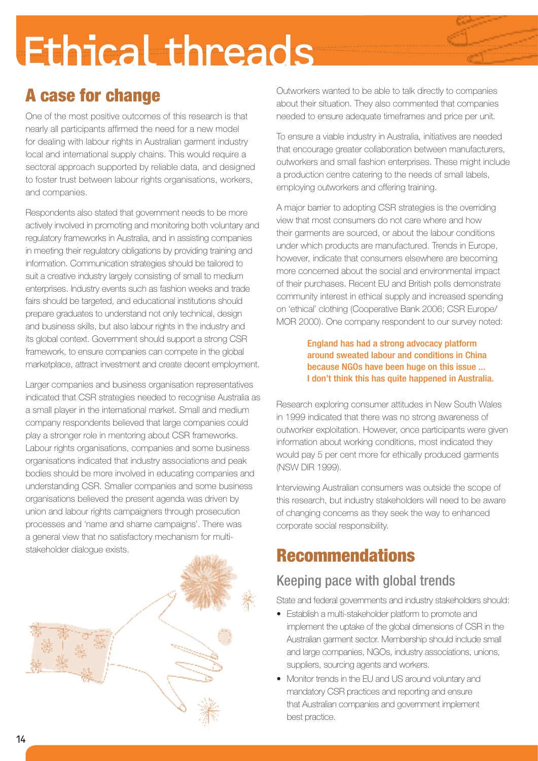## A case for change

One of the most positive outcomes of this research is that nearly all participants affirmed the need for a new model for dealing with labour rights in Australian garment industry local and international supply chains. This would require a sectoral approach supported by reliable data, and designed to foster trust between labour rights organisations, workers, and companies.

Respondents also stated that government needs to be more actively involved in promoting and monitoring both voluntary and regulatory frameworks in Australia, and in assisting companies in meeting their regulatory obligations by providing training and information. Communication strategies should be tailored to suit a creative industry largely consisting of small to medium enterprises. Industry events such as fashion weeks and trade fairs should be targeted, and educational institutions should prepare graduates to understand not only technical, design and business skills, but also labour rights in the industry and its global context. Government should support a strong CSR framework, to ensure companies can compete in the global marketplace, attract investment and create decent employment.

Larger companies and business organisation representatives indicated that CSR strategies needed to recognise Australia as a small player in the international market. Small and medium company respondents believed that large companies could play a stronger role in mentoring about CSR frameworks. Labour rights organisations, companies and some business organisations indicated that industry associations and peak bodies should be more involved in educating companies and understanding CSR. Smaller companies and some business organisations believed the present agenda was driven by union and labour rights campaigners through prosecution processes and 'name and shame campaigns'. There was a general view that no satisfactory mechanism for multistakeholder dialogue exists.



Outworkers wanted to be able to talk directly to companies about their situation. They also commented that companies needed to ensure adequate timeframes and price per unit.

To ensure a viable industry in Australia, initiatives are needed that encourage greater collaboration between manufacturers, outworkers and small fashion enterprises. These might include a production centre catering to the needs of small labels, employing outworkers and offering training.

A major barrier to adopting CSR strategies is the overriding view that most consumers do not care where and how their garments are sourced, or about the labour conditions under which products are manufactured. Trends in Europe, however, indicate that consumers elsewhere are becoming more concerned about the social and environmental impact of their purchases. Recent EU and British polls demonstrate community interest in ethical supply and increased spending on 'ethical' clothing (Cooperative Bank 2006; CSR Europe/ MOR 2000). One company respondent to our survey noted:

#### England has had a strong advocacy platform around sweated labour and conditions in China because NGOs have been huge on this issue ... I don't think this has quite happened in Australia.

Research exploring consumer attitudes in New South Wales in 1999 indicated that there was no strong awareness of outworker exploitation. However, once participants were given information about working conditions, most indicated they would pay 5 per cent more for ethically produced garments (NSW DIR 1999).

Interviewing Australian consumers was outside the scope of this research, but industry stakeholders will need to be aware of changing concerns as they seek the way to enhanced corporate social responsibility.

## Recommendations

### Keeping pace with global trends

State and federal governments and industry stakeholders should:

- Establish a multi-stakeholder platform to promote and implement the uptake of the global dimensions of CSR in the Australian garment sector. Membership should include small and large companies, NGOs, industry associations, unions, suppliers, sourcing agents and workers.
- Monitor trends in the EU and US around voluntary and mandatory CSR practices and reporting and ensure that Australian companies and government implement best practice.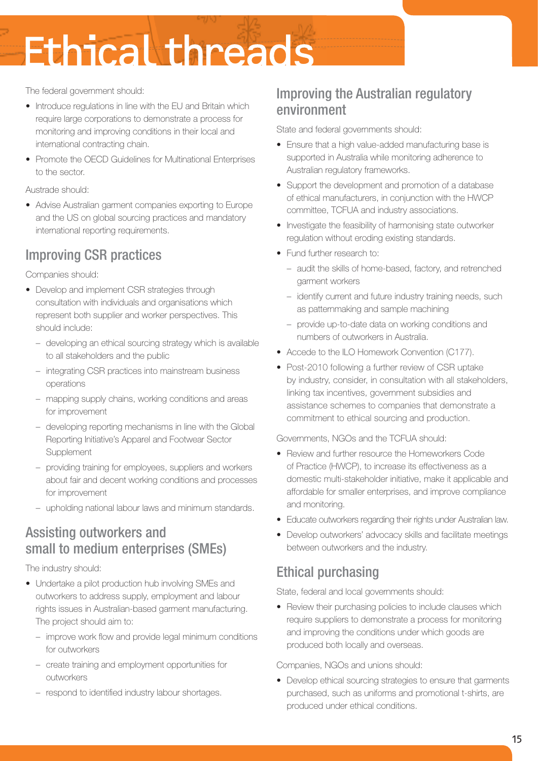The federal government should:

- Introduce regulations in line with the EU and Britain which require large corporations to demonstrate a process for monitoring and improving conditions in their local and international contracting chain.
- Promote the OECD Guidelines for Multinational Enterprises to the sector.

Austrade should:

• Advise Australian garment companies exporting to Europe and the US on global sourcing practices and mandatory international reporting requirements.

### Improving CSR practices

Companies should:

- Develop and implement CSR strategies through consultation with individuals and organisations which represent both supplier and worker perspectives. This should include:
	- developing an ethical sourcing strategy which is available to all stakeholders and the public
	- integrating CSR practices into mainstream business operations
	- mapping supply chains, working conditions and areas for improvement
	- developing reporting mechanisms in line with the Global Reporting Initiative's Apparel and Footwear Sector **Supplement**
	- providing training for employees, suppliers and workers about fair and decent working conditions and processes for improvement
	- upholding national labour laws and minimum standards.

### Assisting outworkers and small to medium enterprises (SMEs)

The industry should:

- Undertake a pilot production hub involving SMEs and outworkers to address supply, employment and labour rights issues in Australian-based garment manufacturing. The project should aim to:
	- improve work flow and provide legal minimum conditions for outworkers
	- create training and employment opportunities for outworkers
	- respond to identified industry labour shortages.

### Improving the Australian regulatory environment

State and federal governments should:

- Ensure that a high value-added manufacturing base is supported in Australia while monitoring adherence to Australian regulatory frameworks.
- Support the development and promotion of a database of ethical manufacturers, in conjunction with the HWCP committee, TCFUA and industry associations.
- Investigate the feasibility of harmonising state outworker regulation without eroding existing standards.
- Fund further research to:
	- audit the skills of home-based, factory, and retrenched garment workers
	- identify current and future industry training needs, such as patternmaking and sample machining
	- provide up-to-date data on working conditions and numbers of outworkers in Australia.
- Accede to the ILO Homework Convention (C177).
- Post-2010 following a further review of CSR uptake by industry, consider, in consultation with all stakeholders, linking tax incentives, government subsidies and assistance schemes to companies that demonstrate a commitment to ethical sourcing and production.

Governments, NGOs and the TCFUA should:

- Review and further resource the Homeworkers Code of Practice (HWCP), to increase its effectiveness as a domestic multi-stakeholder initiative, make it applicable and affordable for smaller enterprises, and improve compliance and monitoring.
- Educate outworkers regarding their rights under Australian law.
- Develop outworkers' advocacy skills and facilitate meetings between outworkers and the industry.

### Ethical purchasing

State, federal and local governments should:

• Review their purchasing policies to include clauses which require suppliers to demonstrate a process for monitoring and improving the conditions under which goods are produced both locally and overseas.

Companies, NGOs and unions should:

• Develop ethical sourcing strategies to ensure that garments purchased, such as uniforms and promotional t-shirts, are produced under ethical conditions.